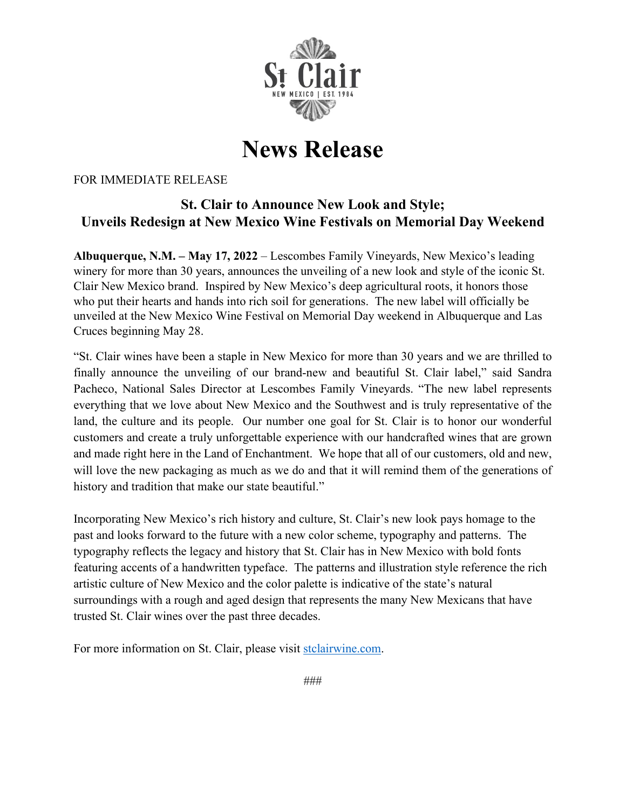

## **News Release**

## FOR IMMEDIATE RELEASE

## **St. Clair to Announce New Look and Style; Unveils Redesign at New Mexico Wine Festivals on Memorial Day Weekend**

**Albuquerque, N.M. – May 17, 2022** – Lescombes Family Vineyards, New Mexico's leading winery for more than 30 years, announces the unveiling of a new look and style of the iconic St. Clair New Mexico brand. Inspired by New Mexico's deep agricultural roots, it honors those who put their hearts and hands into rich soil for generations. The new label will officially be unveiled at the New Mexico Wine Festival on Memorial Day weekend in Albuquerque and Las Cruces beginning May 28.

"St. Clair wines have been a staple in New Mexico for more than 30 years and we are thrilled to finally announce the unveiling of our brand-new and beautiful St. Clair label," said Sandra Pacheco, National Sales Director at Lescombes Family Vineyards. "The new label represents everything that we love about New Mexico and the Southwest and is truly representative of the land, the culture and its people. Our number one goal for St. Clair is to honor our wonderful customers and create a truly unforgettable experience with our handcrafted wines that are grown and made right here in the Land of Enchantment. We hope that all of our customers, old and new, will love the new packaging as much as we do and that it will remind them of the generations of history and tradition that make our state beautiful."

Incorporating New Mexico's rich history and culture, St. Clair's new look pays homage to the past and looks forward to the future with a new color scheme, typography and patterns. The typography reflects the legacy and history that St. Clair has in New Mexico with bold fonts featuring accents of a handwritten typeface. The patterns and illustration style reference the rich artistic culture of New Mexico and the color palette is indicative of the state's natural surroundings with a rough and aged design that represents the many New Mexicans that have trusted St. Clair wines over the past three decades.

For more information on St. Clair, please visi[t](https://stclairwine.com/) [stclairwine.com.](https://stclairwine.com/)